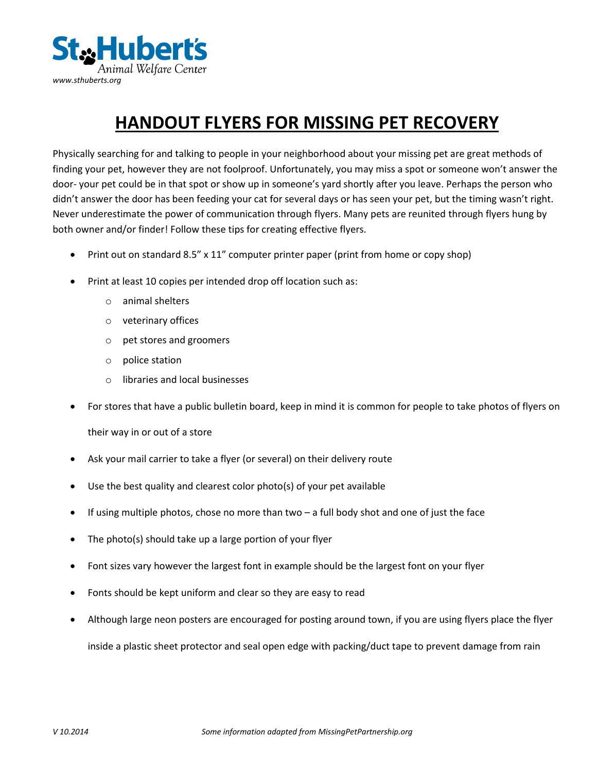

## **HANDOUT FLYERS FOR MISSING PET RECOVERY**

Physically searching for and talking to people in your neighborhood about your missing pet are great methods of finding your pet, however they are not foolproof. Unfortunately, you may miss a spot or someone won't answer the door- your pet could be in that spot or show up in someone's yard shortly after you leave. Perhaps the person who didn't answer the door has been feeding your cat for several days or has seen your pet, but the timing wasn't right. Never underestimate the power of communication through flyers. Many pets are reunited through flyers hung by both owner and/or finder! Follow these tips for creating effective flyers.

- Print out on standard 8.5" x 11" computer printer paper (print from home or copy shop)
- Print at least 10 copies per intended drop off location such as:
	- o animal shelters
	- o veterinary offices
	- o pet stores and groomers
	- o police station
	- o libraries and local businesses
- For stores that have a public bulletin board, keep in mind it is common for people to take photos of flyers on their way in or out of a store
- Ask your mail carrier to take a flyer (or several) on their delivery route
- Use the best quality and clearest color photo(s) of your pet available
- $\bullet$  If using multiple photos, chose no more than two a full body shot and one of just the face
- The photo(s) should take up a large portion of your flyer
- Font sizes vary however the largest font in example should be the largest font on your flyer
- Fonts should be kept uniform and clear so they are easy to read
- Although large neon posters are encouraged for posting around town, if you are using flyers place the flyer

inside a plastic sheet protector and seal open edge with packing/duct tape to prevent damage from rain